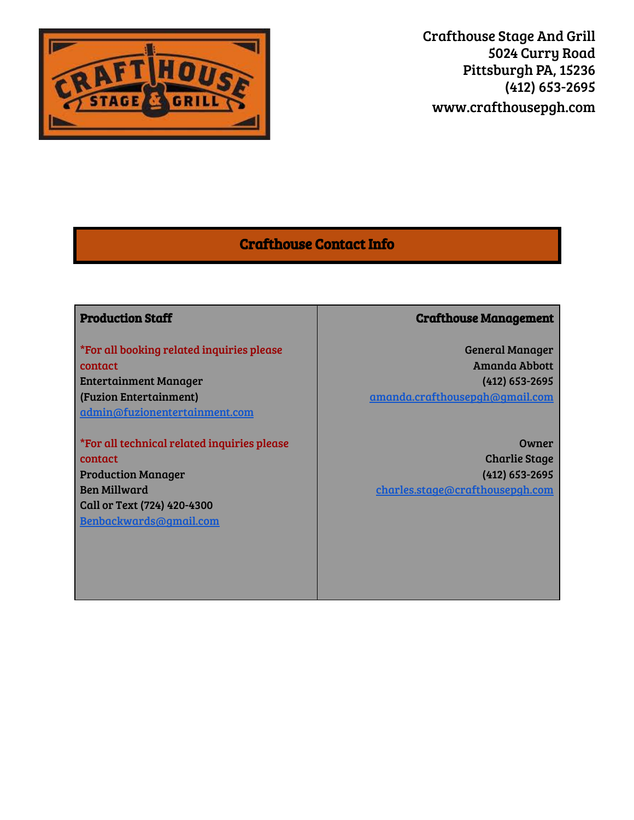

# Crafthouse Contact Info

# Production Staff

\*For all booking related inquiries please contact Entertainment Manager (Fuzion Entertainment) admin@fuzionentertainment.com

\*For all technical related inquiries please contact Production Manager Ben Millward Call or Text (724) 420-4300 Benbackwards@gmail.com

# Crafthouse Management

General Manager Amanda Abbott (412) 653-2695 amanda.crafthousepgh@gmail.com

Owner Charlie Stage (412) 653-2695 charles.stage@crafthousepgh.com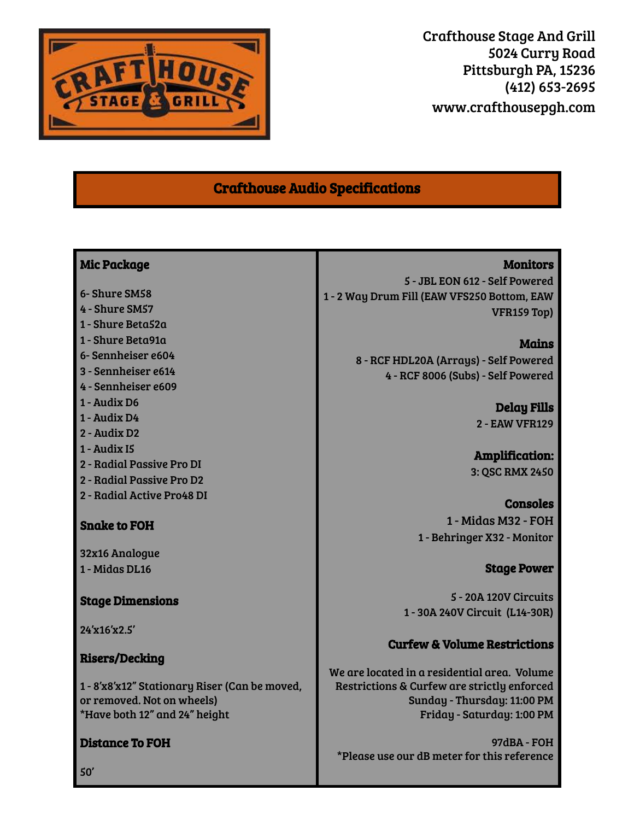

# Crafthouse Audio Specifications

- 6- Shure SM58
- 4 Shure SM57
- 1 Shure Beta52a
- 1 Shure Beta91a
- 6- Sennheiser e604
- 3 Sennheiser e614
- 4 Sennheiser e609
- 1 Audix D6
- 1 Audix D4
- 2 Audix D2
- 1 Audix I5
- 2 Radial Passive Pro DI
- 2 Radial Passive Pro D2
- 2 Radial Active Pro48 DI

Snake to FOH

32x16 Analogue 1 - Midas DL16

#### Stage Dimensions

24'x16'x2.5'

#### Risers/Decking

1 - 8'x8'x12" Stationary Riser (Can be moved, or removed. Not on wheels) \*Have both 12" and 24" height

# Distance To FOH

**Monitors** 

5 - JBL EON 612 - Self Powered 1 - 2 Way Drum Fill (EAW VFS250 Bottom, EAW VFR159 Top)

> Mains 8 - RCF HDL20A (Arrays) - Self Powered 4 - RCF 8006 (Subs) - Self Powered

> > Delay Fills 2 - EAW VFR129

Amplification: 3: QSC RMX 2450

Consoles 1 - Midas M32 - FOH 1 - Behringer X32 - Monitor

Stage Power

5 - 20A 120V Circuits 1 - 30A 240V Circuit (L14-30R)

# Curfew & Volume Restrictions

We are located in a residential area. Volume Restrictions & Curfew are strictly enforced Sunday - Thursday: 11:00 PM Friday - Saturday: 1:00 PM

97dBA - FOH \*Please use our dB meter for this reference

50'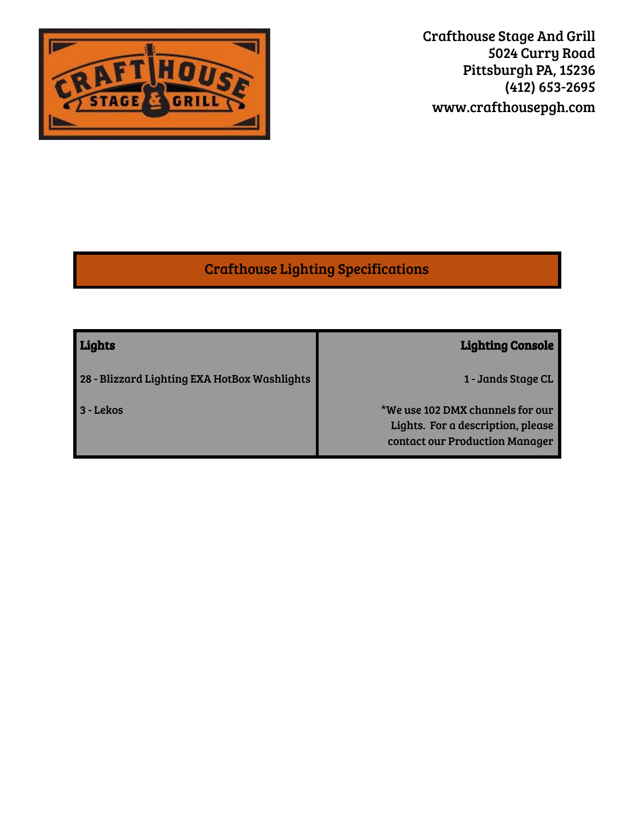

# Crafthouse Lighting Specifications

| Lights                                       | <b>Lighting Console</b>                                                                                 |
|----------------------------------------------|---------------------------------------------------------------------------------------------------------|
| 28 - Blizzard Lighting EXA HotBox Washlights | 1 - Jands Stage CL                                                                                      |
| 3 - Lekos                                    | *We use 102 DMX channels for our<br>Lights. For a description, please<br>contact our Production Manager |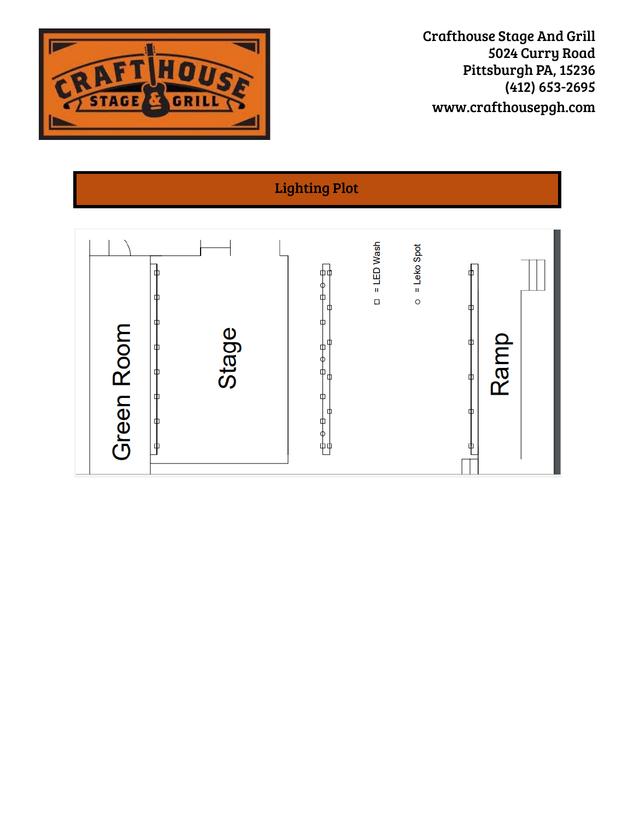